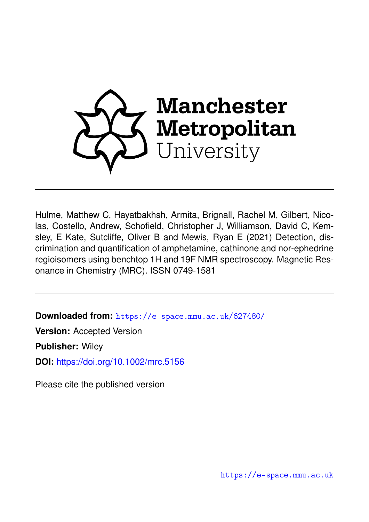

Hulme, Matthew C, Hayatbakhsh, Armita, Brignall, Rachel M, Gilbert, Nicolas, Costello, Andrew, Schofield, Christopher J, Williamson, David C, Kemsley, E Kate, Sutcliffe, Oliver B and Mewis, Ryan E (2021) Detection, discrimination and quantification of amphetamine, cathinone and nor-ephedrine regioisomers using benchtop 1H and 19F NMR spectroscopy. Magnetic Resonance in Chemistry (MRC). ISSN 0749-1581

**Downloaded from:** <https://e-space.mmu.ac.uk/627480/>

**Version:** Accepted Version

**Publisher:** Wiley

**DOI:** <https://doi.org/10.1002/mrc.5156>

Please cite the published version

<https://e-space.mmu.ac.uk>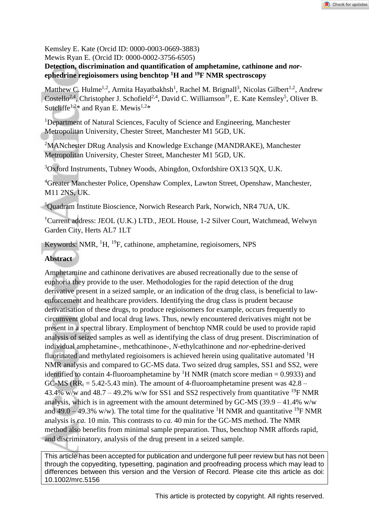Kemsley E. Kate (Orcid ID: 0000-0003-0669-3883)

Mewis Ryan E. (Orcid ID: 0000-0002-3756-6505)

**Detection, discrimination and quantification of amphetamine, cathinone and** *nor***ephedrine regioisomers using benchtop <sup>1</sup>H and <sup>19</sup>F NMR spectroscopy**

Matthew C. Hulme<sup>1,2</sup>, Armita Hayatbakhsh<sup>1</sup>, Rachel M. Brignall<sup>3</sup>, Nicolas Gilbert<sup>1,2</sup>, Andrew Costello<sup>2,4</sup>, Christopher J. Schofield<sup>2,4</sup>, David C. Williamson<sup>3†</sup>, E. Kate Kemsley<sup>5</sup>, Oliver B. Sutcliffe<sup>1,2\*</sup> and Ryan E. Mewis<sup>1,2\*</sup>

<sup>1</sup>Department of Natural Sciences, Faculty of Science and Engineering, Manchester Metropolitan University, Chester Street, Manchester M1 5GD, UK.

<sup>2</sup>MANchester DRug Analysis and Knowledge Exchange (MANDRAKE), Manchester Metropolitan University, Chester Street, Manchester M1 5GD, UK.

<sup>3</sup>Oxford Instruments, Tubney Woods, Abingdon, Oxfordshire OX13 5QX, U.K.

<sup>4</sup>Greater Manchester Police, Openshaw Complex, Lawton Street, Openshaw, Manchester, M11 2NS, UK.

<sup>5</sup>Quadram Institute Bioscience, Norwich Research Park, Norwich, NR4 7UA, UK.

†Current address: JEOL (U.K.) LTD., JEOL House, 1-2 Silver Court, Watchmead, Welwyn Garden City, Herts AL7 1LT

Keywords: NMR, <sup>1</sup>H, <sup>19</sup>F, cathinone, amphetamine, regioisomers, NPS

### **Abstract**

Amphetamine and cathinone derivatives are abused recreationally due to the sense of euphoria they provide to the user. Methodologies for the rapid detection of the drug derivative present in a seized sample, or an indication of the drug class, is beneficial to lawenforcement and healthcare providers. Identifying the drug class is prudent because derivatisation of these drugs, to produce regioisomers for example, occurs frequently to circumvent global and local drug laws. Thus, newly encountered derivatives might not be present in a spectral library. Employment of benchtop NMR could be used to provide rapid analysis of seized samples as well as identifying the class of drug present. Discrimination of individual amphetamine-, methcathinone-, *N*-ethylcathinone and *nor*-ephedrine-derived fluorinated and methylated regioisomers is achieved herein using qualitative automated <sup>1</sup>H NMR analysis and compared to GC-MS data. Two seized drug samples, SS1 and SS2, were identified to contain 4-fluoroamphetamine by <sup>1</sup>H NMR (match score median = 0.9933) and GC-MS ( $RR_t = 5.42 - 5.43$  min). The amount of 4-fluoroamphetamine present was  $42.8 -$ 43.4% w/w and 48.7 – 49.2% w/w for SS1 and SS2 respectively from quantitative <sup>19</sup>F NMR analysis, which is in agreement with the amount determined by GC-MS  $(39.9 - 41.4\%$  w/w and 49.0 – 49.3% w/w). The total time for the qualitative <sup>1</sup>H NMR and quantitative <sup>19</sup>F NMR analysis is *ca.* 10 min. This contrasts to *ca.* 40 min for the GC-MS method. The NMR method also benefits from minimal sample preparation. Thus, benchtop NMR affords rapid, and discriminatory, analysis of the drug present in a seized sample.

This article has been accepted for publication and undergone full peer review but has not been through the copyediting, typesetting, pagination and proofreading process which may lead to differences between this version and the Version of Record. Please cite this article as doi: 10.1002/mrc.5156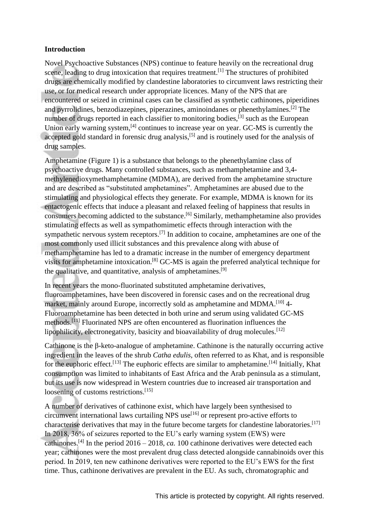### **Introduction**

Novel Psychoactive Substances (NPS) continue to feature heavily on the recreational drug scene, leading to drug intoxication that requires treatment.<sup>[1]</sup> The structures of prohibited drugs are chemically modified by clandestine laboratories to circumvent laws restricting their use, or for medical research under appropriate licences. Many of the NPS that are encountered or seized in criminal cases can be classified as synthetic cathinones, piperidines and pyrrolidines, benzodiazepines, piperazines, aminoindanes or phenethylamines.[2] The number of drugs reported in each classifier to monitoring bodies, $^{[3]}$  such as the European Union early warning system,<sup>[4]</sup> continues to increase year on year. GC-MS is currently the accepted gold standard in forensic drug analysis,<sup>[5]</sup> and is routinely used for the analysis of drug samples.

Amphetamine (Figure 1) is a substance that belongs to the phenethylamine class of psychoactive drugs. Many controlled substances, such as methamphetamine and 3,4 methylenedioxymethamphetamine (MDMA), are derived from the amphetamine structure and are described as "substituted amphetamines". Amphetamines are abused due to the stimulating and physiological effects they generate. For example, MDMA is known for its entactogenic effects that induce a pleasant and relaxed feeling of happiness that results in consumers becoming addicted to the substance. [6] Similarly, methamphetamine also provides stimulating effects as well as sympathomimetic effects through interaction with the sympathetic nervous system receptors.<sup>[7]</sup> In addition to cocaine, amphetamines are one of the most commonly used illicit substances and this prevalence along with abuse of methamphetamine has led to a dramatic increase in the number of emergency department visits for amphetamine intoxication.[8] GC-MS is again the preferred analytical technique for the qualitative, and quantitative, analysis of amphetamines.<sup>[9]</sup>

In recent years the mono-fluorinated substituted amphetamine derivatives, fluoroamphetamines, have been discovered in forensic cases and on the recreational drug market, mainly around Europe, incorrectly sold as amphetamine and MDMA.<sup>[10]</sup> 4-Fluoroamphetamine has been detected in both urine and serum using validated GC-MS methods.[11] Fluorinated NPS are often encountered as fluorination influences the lipophilicity, electronegativity, basicity and bioavailability of drug molecules.<sup>[12]</sup>

Cathinone is the β-keto-analogue of amphetamine. Cathinone is the naturally occurring active ingredient in the leaves of the shrub *Catha edulis*, often referred to as Khat, and is responsible for the euphoric effect.<sup>[13]</sup> The euphoric effects are similar to amphetamine.<sup>[14]</sup> Initially, Khat consumption was limited to inhabitants of East Africa and the Arab peninsula as a stimulant, but its use is now widespread in Western countries due to increased air transportation and loosening of customs restrictions. [15]

A number of derivatives of cathinone exist, which have largely been synthesised to circumvent international laws curtailing NPS use<sup>[16]</sup> or represent pro-active efforts to characterise derivatives that may in the future become targets for clandestine laboratories.<sup>[17]</sup> In 2018, 36% of seizures reported to the EU's early warning system (EWS) were cathinones.<sup>[4]</sup> In the period  $2016 - 2018$ , *ca.* 100 cathinone derivatives were detected each year; cathinones were the most prevalent drug class detected alongside cannabinoids over this period. In 2019, ten new cathinone derivatives were reported to the EU's EWS for the first time. Thus, cathinone derivatives are prevalent in the EU. As such, chromatographic and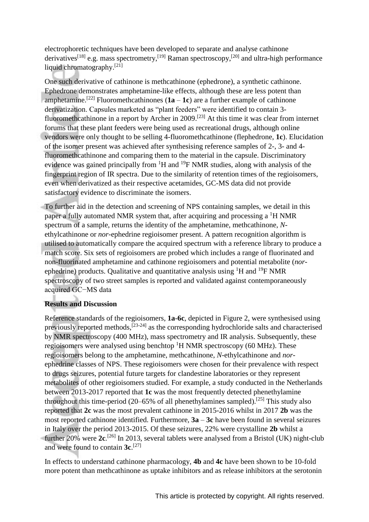electrophoretic techniques have been developed to separate and analyse cathinone derivatives<sup>[18]</sup> e.g. mass spectrometry,<sup>[19]</sup> Raman spectroscopy,<sup>[20]</sup> and ultra-high performance liquid chromatography.<sup>[21]</sup>

One such derivative of cathinone is methcathinone (ephedrone), a synthetic cathinone. Ephedrone demonstrates amphetamine-like effects, although these are less potent than amphetamine.<sup>[22]</sup> Fluoromethcathinones  $(1a - 1c)$  are a further example of cathinone derivatization. Capsules marketed as "plant feeders" were identified to contain 3 fluoromethcathinone in a report by Archer in  $2009$ .<sup>[23]</sup> At this time it was clear from internet forums that these plant feeders were being used as recreational drugs, although online vendors were only thought to be selling 4-fluoromethcathinone (flephedrone, **1c**). Elucidation of the isomer present was achieved after synthesising reference samples of 2-, 3- and 4 fluoromethcathinone and comparing them to the material in the capsule. Discriminatory evidence was gained principally from  ${}^{1}H$  and  ${}^{19}F$  NMR studies, along with analysis of the fingerprint region of IR spectra. Due to the similarity of retention times of the regioisomers, even when derivatized as their respective acetamides, GC-MS data did not provide satisfactory evidence to discriminate the isomers.

To further aid in the detection and screening of NPS containing samples, we detail in this paper a fully automated NMR system that, after acquiring and processing a  ${}^{1}$ H NMR spectrum of a sample, returns the identity of the amphetamine, methcathinone, *N*ethylcathinone or *nor*-ephedrine regioisomer present. A pattern recognition algorithm is utilised to automatically compare the acquired spectrum with a reference library to produce a match score. Six sets of regioisomers are probed which includes a range of fluorinated and non-fluorinated amphetamine and cathinone regioisomers and potential metabolite (*nor*ephedrine) products. Qualitative and quantitative analysis using  ${}^{1}H$  and  ${}^{19}F$  NMR spectroscopy of two street samples is reported and validated against contemporaneously acquired GC−MS data

## **Results and Discussion**

Reference standards of the regioisomers, **1a**-**6c**, depicted in Figure 2, were synthesised using previously reported methods,[23-24] as the corresponding hydrochloride salts and characterised by NMR spectroscopy (400 MHz), mass spectrometry and IR analysis. Subsequently, these regioisomers were analysed using benchtop  ${}^{1}H$  NMR spectroscopy (60 MHz). These regioisomers belong to the amphetamine, methcathinone, *N*-ethylcathinone and *nor*ephedrine classes of NPS. These regioisomers were chosen for their prevalence with respect to drugs seizures, potential future targets for clandestine laboratories or they represent metabolites of other regioisomers studied. For example, a study conducted in the Netherlands between 2013-2017 reported that **1c** was the most frequently detected phenethylamine throughout this time-period  $(20-65\%$  of all phenethylamines sampled).<sup>[25]</sup> This study also reported that **2c** was the most prevalent cathinone in 2015-2016 whilst in 2017 **2b** was the most reported cathinone identified. Furthermore, **3a** – **3c** have been found in several seizures in Italy over the period 2013-2015. Of these seizures, 22% were crystalline **2b** whilst a further 20% were **2c**. [26] In 2013, several tablets were analysed from a Bristol (UK) night-club and were found to contain **3c**. [27]

In effects to understand cathinone pharmacology, **4b** and **4c** have been shown to be 10-fold more potent than methcathinone as uptake inhibitors and as release inhibitors at the serotonin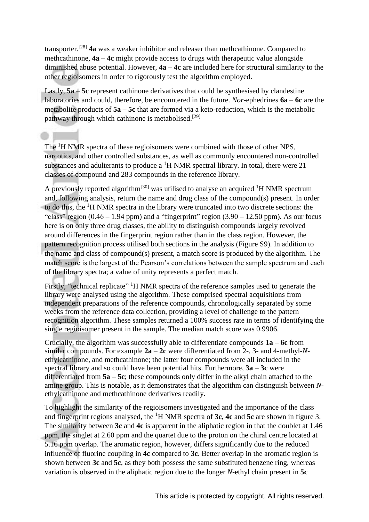transporter.[28] **4a** was a weaker inhibitor and releaser than methcathinone. Compared to methcathinone, **4a** – **4c** might provide access to drugs with therapeutic value alongside diminished abuse potential. However, **4a** – **4c** are included here for structural similarity to the other regioisomers in order to rigorously test the algorithm employed.

Lastly, **5a** – **5c** represent cathinone derivatives that could be synthesised by clandestine laboratories and could, therefore, be encountered in the future. *Nor*-ephedrines **6a** – **6c** are the metabolite products of **5a** – **5c** that are formed via a keto-reduction, which is the metabolic pathway through which cathinone is metabolised.<sup>[29]</sup>

The <sup>1</sup>H NMR spectra of these regioisomers were combined with those of other NPS, narcotics, and other controlled substances, as well as commonly encountered non-controlled substances and adulterants to produce a  ${}^{1}$ H NMR spectral library. In total, there were 21 classes of compound and 283 compounds in the reference library.

A previously reported algorithm<sup>[30]</sup> was utilised to analyse an acquired <sup>1</sup>H NMR spectrum and, following analysis, return the name and drug class of the compound(s) present. In order to do this, the <sup>1</sup>H NMR spectra in the library were truncated into two discrete sections: the "class" region  $(0.46 - 1.94$  ppm) and a "fingerprint" region  $(3.90 - 12.50$  ppm). As our focus here is on only three drug classes, the ability to distinguish compounds largely revolved around differences in the fingerprint region rather than in the class region. However, the pattern recognition process utilised both sections in the analysis (Figure S9). In addition to the name and class of compound(s) present, a match score is produced by the algorithm. The match score is the largest of the Pearson's correlations between the sample spectrum and each of the library spectra; a value of unity represents a perfect match.

Firstly, "technical replicate" <sup>1</sup>H NMR spectra of the reference samples used to generate the library were analysed using the algorithm. These comprised spectral acquisitions from independent preparations of the reference compounds, chronologically separated by some weeks from the reference data collection, providing a level of challenge to the pattern recognition algorithm. These samples returned a 100% success rate in terms of identifying the single regioisomer present in the sample. The median match score was 0.9906.

Crucially, the algorithm was successfully able to differentiate compounds **1a** – **6c** from similar compounds. For example **2a** – **2c** were differentiated from 2-, 3- and 4-methyl-*N*ethylcathinone, and methcathinone; the latter four compounds were all included in the spectral library and so could have been potential hits. Furthermore, **3a** – **3c** were differentiated from **5a** – **5c**; these compounds only differ in the alkyl chain attached to the amine group. This is notable, as it demonstrates that the algorithm can distinguish between *N*ethylcathinone and methcathinone derivatives readily.

To highlight the similarity of the regioisomers investigated and the importance of the class and fingerprint regions analysed, the <sup>1</sup>H NMR spectra of **3c**, **4c** and **5c** are shown in figure 3. The similarity between **3c** and **4c** is apparent in the aliphatic region in that the doublet at 1.46 ppm, the singlet at 2.60 ppm and the quartet due to the proton on the chiral centre located at 5.16 ppm overlap. The aromatic region, however, differs significantly due to the reduced influence of fluorine coupling in **4c** compared to **3c**. Better overlap in the aromatic region is shown between **3c** and **5c**, as they both possess the same substituted benzene ring, whereas variation is observed in the aliphatic region due to the longer *N*-ethyl chain present in **5c**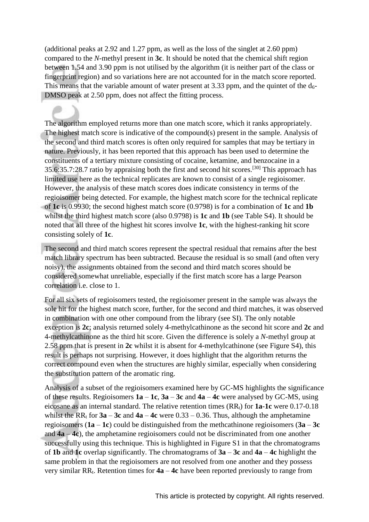(additional peaks at 2.92 and 1.27 ppm, as well as the loss of the singlet at 2.60 ppm) compared to the *N*-methyl present in **3c**. It should be noted that the chemical shift region between 1.54 and 3.90 ppm is not utilised by the algorithm (it is neither part of the class or fingerprint region) and so variations here are not accounted for in the match score reported. This means that the variable amount of water present at 3.33 ppm, and the quintet of the  $d_{6}$ -DMSO peak at 2.50 ppm, does not affect the fitting process.

The algorithm employed returns more than one match score, which it ranks appropriately. The highest match score is indicative of the compound(s) present in the sample. Analysis of the second and third match scores is often only required for samples that may be tertiary in nature. Previously, it has been reported that this approach has been used to determine the constituents of a tertiary mixture consisting of cocaine, ketamine, and benzocaine in a 35.6:35.7:28.7 ratio by appraising both the first and second hit scores.[30] This approach has limited use here as the technical replicates are known to consist of a single regioisomer. However, the analysis of these match scores does indicate consistency in terms of the regioisomer being detected. For example, the highest match score for the technical replicate of **1c** is 0.9930; the second highest match score (0.9798) is for a combination of **1c** and **1b** whilst the third highest match score (also 0.9798) is **1c** and **1b** (see Table S4). It should be noted that all three of the highest hit scores involve **1c**, with the highest-ranking hit score consisting solely of **1c**.

The second and third match scores represent the spectral residual that remains after the best match library spectrum has been subtracted. Because the residual is so small (and often very noisy), the assignments obtained from the second and third match scores should be considered somewhat unreliable, especially if the first match score has a large Pearson correlation i.e. close to 1.

For all six sets of regioisomers tested, the regioisomer present in the sample was always the sole hit for the highest match score, further, for the second and third matches, it was observed in combination with one other compound from the library (see SI). The only notable exception is **2c**; analysis returned solely 4-methylcathinone as the second hit score and **2c** and 4-methylcathinone as the third hit score. Given the difference is solely a *N*-methyl group at 2.58 ppm that is present in **2c** whilst it is absent for 4-methylcathinone (see Figure S4), this result is perhaps not surprising. However, it does highlight that the algorithm returns the correct compound even when the structures are highly similar, especially when considering the substitution pattern of the aromatic ring.

Analysis of a subset of the regioisomers examined here by GC-MS highlights the significance of these results. Regioisomers **1a** – **1c**, **3a** – **3c** and **4a** – **4c** were analysed by GC-MS, using eicosane as an internal standard. The relative retention times (RR<sub>t</sub>) for **1a-1c** were 0.17-0.18 whilst the  $RR_t$  for  $3a - 3c$  and  $4a - 4c$  were  $0.33 - 0.36$ . Thus, although the amphetamine regioisomers (**1a** – **1c**) could be distinguished from the methcathinone regioisomers (**3a** – **3c** and **4a** – **4c**), the amphetamine regioisomers could not be discriminated from one another successfully using this technique. This is highlighted in Figure S1 in that the chromatograms of **1b** and **1c** overlap significantly. The chromatograms of **3a** – **3c** and **4a** – **4c** highlight the same problem in that the regioisomers are not resolved from one another and they possess very similar RRt. Retention times for **4a** – **4c** have been reported previously to range from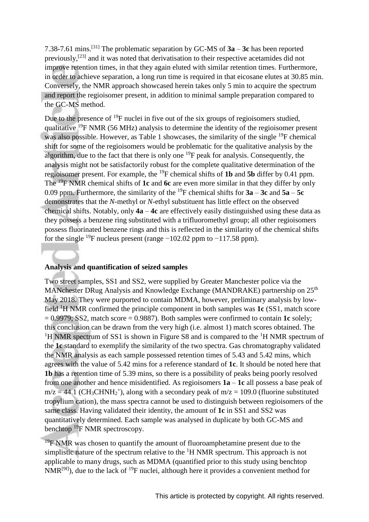7.38-7.61 mins.[31] The problematic separation by GC-MS of **3a** – **3c** has been reported previously,[23] and it was noted that derivatisation to their respective acetamides did not improve retention times, in that they again eluted with similar retention times. Furthermore, in order to achieve separation, a long run time is required in that eicosane elutes at 30.85 min. Conversely, the NMR approach showcased herein takes only 5 min to acquire the spectrum and report the regioisomer present, in addition to minimal sample preparation compared to the GC-MS method.

Due to the presence of  $^{19}F$  nuclei in five out of the six groups of regioisomers studied, qualitative  $^{19}$ F NMR (56 MHz) analysis to determine the identity of the regioisomer present was also possible. However, as Table 1 showcases, the similarity of the single <sup>19</sup>F chemical shift for some of the regioisomers would be problematic for the qualitative analysis by the algorithm, due to the fact that there is only one  $^{19}F$  peak for analysis. Consequently, the analysis might not be satisfactorily robust for the complete qualitative determination of the regioisomer present. For example, the <sup>19</sup>F chemical shifts of **1b** and **5b** differ by 0.41 ppm. The <sup>19</sup>F NMR chemical shifts of **1c** and **6c** are even more similar in that they differ by only 0.09 ppm. Furthermore, the similarity of the <sup>19</sup>F chemical shifts for  $3a - 3c$  and  $5a - 5c$ demonstrates that the *N*-methyl or *N*-ethyl substituent has little effect on the observed chemical shifts. Notably, only **4a** – **4c** are effectively easily distinguished using these data as they possess a benzene ring substituted with a trifluoromethyl group; all other regioisomers possess fluorinated benzene rings and this is reflected in the similarity of the chemical shifts for the single <sup>19</sup>F nucleus present (range  $-102.02$  ppm to  $-117.58$  ppm).

#### **Analysis and quantification of seized samples**

Two street samples, SS1 and SS2, were supplied by Greater Manchester police via the MANchester DRug Analysis and Knowledge Exchange (MANDRAKE) partnership on 25<sup>th</sup> May 2018. They were purported to contain MDMA, however, preliminary analysis by lowfield <sup>1</sup>H NMR confirmed the principle component in both samples was **1c** (SS1, match score = 0.9979; SS2, match score = 0.9887). Both samples were confirmed to contain **1c** solely; this conclusion can be drawn from the very high (i.e. almost 1) match scores obtained. The <sup>1</sup>H NMR spectrum of SS1 is shown in Figure S8 and is compared to the <sup>1</sup>H NMR spectrum of the **1c** standard to exemplify the similarity of the two spectra. Gas chromatography validated the NMR analysis as each sample possessed retention times of 5.43 and 5.42 mins, which agrees with the value of 5.42 mins for a reference standard of **1c**. It should be noted here that **1b** has a retention time of 5.39 mins, so there is a possibility of peaks being poorly resolved from one another and hence misidentified. As regioisomers **1a** – **1c** all possess a base peak of  $m/z = 44.1$  (CH<sub>3</sub>CHNH<sub>2</sub><sup>+</sup>), along with a secondary peak of  $m/z = 109.0$  (fluorine substituted tropylium cation), the mass spectra cannot be used to distinguish between regioisomers of the same class. Having validated their identity, the amount of **1c** in SS1 and SS2 was quantitatively determined. Each sample was analysed in duplicate by both GC-MS and benchtop <sup>19</sup>F NMR spectroscopy.

 $19$ F NMR was chosen to quantify the amount of fluoroamphetamine present due to the simplistic nature of the spectrum relative to the  ${}^{1}H$  NMR spectrum. This approach is not applicable to many drugs, such as MDMA (quantified prior to this study using benchtop  $NMR^{[9f]}$ , due to the lack of <sup>19</sup>F nuclei, although here it provides a convenient method for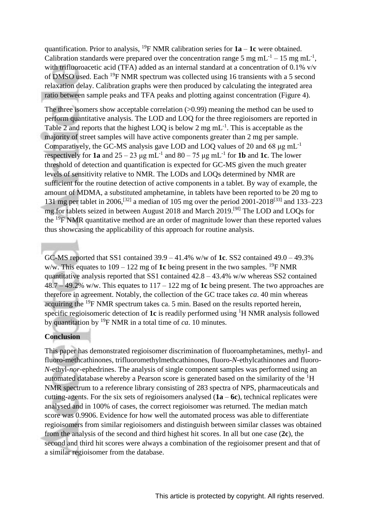quantification. Prior to analysis, <sup>19</sup>F NMR calibration series for  $1a - 1c$  were obtained. Calibration standards were prepared over the concentration range 5 mg mL<sup>-1</sup> – 15 mg mL<sup>-1</sup>, with trifluoroacetic acid (TFA) added as an internal standard at a concentration of 0.1% v/v of DMSO used. Each <sup>19</sup>F NMR spectrum was collected using 16 transients with a 5 second relaxation delay. Calibration graphs were then produced by calculating the integrated area ratio between sample peaks and TFA peaks and plotting against concentration (Figure 4).

The three isomers show acceptable correlation ( $>0.99$ ) meaning the method can be used to perform quantitative analysis. The LOD and LOQ for the three regioisomers are reported in Table 2 and reports that the highest LOQ is below 2 mg  $mL^{-1}$ . This is acceptable as the majority of street samples will have active components greater than 2 mg per sample. Comparatively, the GC-MS analysis gave LOD and LOO values of 20 and 68  $\mu$ g mL<sup>-1</sup> respectively for **1a** and  $25 - 23 \mu g$  mL<sup>-1</sup> and  $80 - 75 \mu g$  mL<sup>-1</sup> for **1b** and **1c**. The lower threshold of detection and quantification is expected for GC-MS given the much greater levels of sensitivity relative to NMR. The LODs and LOQs determined by NMR are sufficient for the routine detection of active components in a tablet. By way of example, the amount of MDMA, a substituted amphetamine, in tablets have been reported to be 20 mg to 131 mg per tablet in 2006,<sup>[32]</sup> a median of 105 mg over the period 2001-2018<sup>[33]</sup> and 133–223 mg for tablets seized in between August 2018 and March 2019.[9f] The LOD and LOQs for the  $^{19}$ F NMR quantitative method are an order of magnitude lower than these reported values thus showcasing the applicability of this approach for routine analysis.

GC-MS reported that SS1 contained 39.9 – 41.4% w/w of **1c**. SS2 contained 49.0 – 49.3% w/w. This equates to  $109 - 122$  mg of 1c being present in the two samples. <sup>19</sup>F NMR quantitative analysis reported that SS1 contained  $42.8 - 43.4\%$  w/w whereas SS2 contained 48.7 – 49.2% w/w. This equates to 117 – 122 mg of **1c** being present. The two approaches are therefore in agreement. Notably, the collection of the GC trace takes *ca*. 40 min whereas acquiring the <sup>19</sup>F NMR spectrum takes ca. 5 min. Based on the results reported herein, specific regioisomeric detection of **1c** is readily performed using <sup>1</sup>H NMR analysis followed by quantitation by <sup>19</sup>F NMR in a total time of *ca*. 10 minutes.

#### **Conclusion**

This paper has demonstrated regioisomer discrimination of fluoroamphetamines, methyl- and fluoro-methcathinones, trifluoromethylmethcathinones, fluoro-*N*-ethylcathinones and fluoro-*N*-ethyl-*nor*-ephedrines. The analysis of single component samples was performed using an automated database whereby a Pearson score is generated based on the similarity of the <sup>1</sup>H NMR spectrum to a reference library consisting of 283 spectra of NPS, pharmaceuticals and cutting-agents. For the six sets of regioisomers analysed (**1a** – **6c**), technical replicates were analysed and in 100% of cases, the correct regioisomer was returned. The median match score was 0.9906. Evidence for how well the automated process was able to differentiate regioisomers from similar regioisomers and distinguish between similar classes was obtained from the analysis of the second and third highest hit scores. In all but one case (**2c**), the second and third hit scores were always a combination of the regioisomer present and that of a similar regioisomer from the database.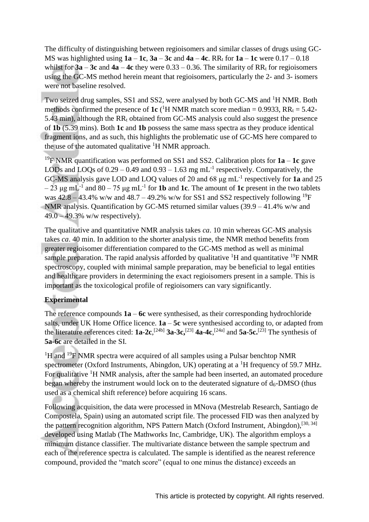The difficulty of distinguishing between regioisomers and similar classes of drugs using GC-MS was highlighted using  $1a - 1c$ ,  $3a - 3c$  and  $4a - 4c$ . RR<sub>t</sub> for  $1a - 1c$  were  $0.17 - 0.18$ whilst for  $3a - 3c$  and  $4a - 4c$  they were  $0.33 - 0.36$ . The similarity of RR<sub>t</sub> for regioisomers using the GC-MS method herein meant that regioisomers, particularly the 2- and 3- isomers were not baseline resolved.

Two seized drug samples, SS1 and SS2, were analysed by both GC-MS and <sup>1</sup>H NMR. Both methods confirmed the presence of **1c** (<sup>1</sup>H NMR match score median = 0.9933,  $RR_t = 5.42$ -5.43 min), although the  $RR_t$  obtained from GC-MS analysis could also suggest the presence of **1b** (5.39 mins). Both **1c** and **1b** possess the same mass spectra as they produce identical fragment ions, and as such, this highlights the problematic use of GC-MS here compared to the use of the automated qualitative  ${}^{1}H$  NMR approach.

<sup>19</sup>F NMR quantification was performed on SS1 and SS2. Calibration plots for **1a** – **1c** gave LODs and LOQs of  $0.29 - 0.49$  and  $0.93 - 1.63$  mg mL<sup>-1</sup> respectively. Comparatively, the GC-MS analysis gave LOD and LOQ values of 20 and 68 μg mL-1 respectively for **1a** and 25  $-23 \mu$ g mL<sup>-1</sup> and  $80 - 75 \mu$ g mL<sup>-1</sup> for **1b** and **1c**. The amount of **1c** present in the two tablets was  $42.8 - 43.4\%$  w/w and  $48.7 - 49.2\%$  w/w for SS1 and SS2 respectively following <sup>19</sup>F NMR analysis. Quantification by GC-MS returned similar values (39.9 – 41.4% w/w and 49.0 – 49.3% w/w respectively).

The qualitative and quantitative NMR analysis takes *ca*. 10 min whereas GC-MS analysis takes *ca*. 40 min. In addition to the shorter analysis time, the NMR method benefits from greater regioisomer differentiation compared to the GC-MS method as well as minimal sample preparation. The rapid analysis afforded by qualitative  ${}^{1}H$  and quantitative  ${}^{19}F$  NMR spectroscopy, coupled with minimal sample preparation, may be beneficial to legal entities and healthcare providers in determining the exact regioisomers present in a sample. This is important as the toxicological profile of regioisomers can vary significantly.

## **Experimental**

The reference compounds **1a** – **6c** were synthesised, as their corresponding hydrochloride salts, under UK Home Office licence. **1a** – **5c** were synthesised according to, or adapted from the literature references cited:  $1a-2c$ ,  $^{[24b]}$   $3a-3c$ ,  $^{[23]}$   $4a-4c$ ,  $^{[24a]}$  and  $5a-5c$ .  $^{[23]}$  The synthesis of **5a**-**6c** are detailed in the SI.

 $1H$  and  $19F$  NMR spectra were acquired of all samples using a Pulsar benchtop NMR spectrometer (Oxford Instruments, Abingdon, UK) operating at a <sup>1</sup>H frequency of 59.7 MHz. For qualitative <sup>1</sup>H NMR analysis, after the sample had been inserted, an automated procedure began whereby the instrument would lock on to the deuterated signature of  $d_6$ -DMSO (thus used as a chemical shift reference) before acquiring 16 scans.

Following acquisition, the data were processed in MNova (Mestrelab Research, Santiago de Compostela, Spain) using an automated script file. The processed FID was then analyzed by the pattern recognition algorithm, NPS Pattern Match (Oxford Instrument, Abingdon),<sup>[30, 34]</sup> developed using Matlab (The Mathworks Inc, Cambridge, UK). The algorithm employs a minimum distance classifier. The multivariate distance between the sample spectrum and each of the reference spectra is calculated. The sample is identified as the nearest reference compound, provided the "match score" (equal to one minus the distance) exceeds an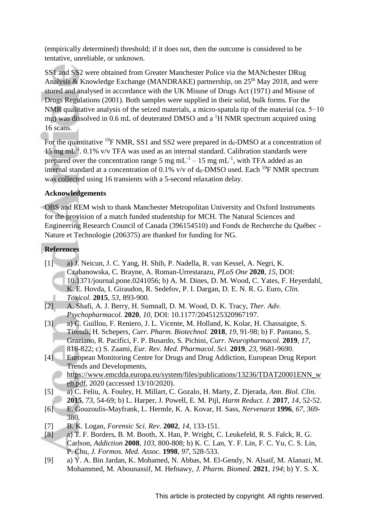(empirically determined) threshold; if it does not, then the outcome is considered to be tentative, unreliable, or unknown.

SS1 and SS2 were obtained from Greater Manchester Police via the MANchester DRug Analysis & Knowledge Exchange (MANDRAKE) partnership, on  $25<sup>th</sup>$  May 2018, and were stored and analysed in accordance with the UK Misuse of Drugs Act (1971) and Misuse of Drugs Regulations (2001). Both samples were supplied in their solid, bulk forms. For the NMR qualitative analysis of the seized materials, a micro-spatula tip of the material (ca. 5−10) mg) was dissolved in 0.6 mL of deuterated DMSO and a  ${}^{1}H$  NMR spectrum acquired using 16 scans.

For the quantitative <sup>19</sup>F NMR, SS1 and SS2 were prepared in  $d_6$ -DMSO at a concentration of 15 mg mL-1 . 0.1% v/v TFA was used as an internal standard. Calibration standards were prepared over the concentration range 5 mg  $mL^{-1}$  – 15 mg mL<sup>-1</sup>, with TFA added as an internal standard at a concentration of 0.1% v/v of  $d_6$ -DMSO used. Each <sup>19</sup>F NMR spectrum was collected using 16 transients with a 5-second relaxation delay.

## **Acknowledgements**

OBS and REM wish to thank Manchester Metropolitan University and Oxford Instruments for the provision of a match funded studentship for MCH. The Natural Sciences and Engineering Research Council of Canada (396154510) and Fonds de Recherche du Québec - Nature et Technologie (206375) are thanked for funding for NG.

# **References**

- [1] a) J. Neicun, J. C. Yang, H. Shih, P. Nadella, R. van Kessel, A. Negri, K. Czabanowska, C. Brayne, A. Roman-Urrestarazu, *PLoS One* **2020**, *15*, DOI: 10.1371/journal.pone.0241056; b) A. M. Dines, D. M. Wood, C. Yates, F. Heyerdahl, K. E. Hovda, I. Giraudon, R. Sedefov, P. I. Dargan, D. E. N. R. G. Euro, *Clin. Toxicol.* **2015**, *53*, 893-900.
- [2] A. Shafi, A. J. Berry, H. Sumnall, D. M. Wood, D. K. Tracy, *Ther. Adv. Psychopharmacol.* **2020**, *10*, DOI: 10.1177/2045125320967197.
- [3] a) C. Guillou, F. Reniero, J. L. Vicente, M. Holland, K. Kolar, H. Chassaigne, S. Tirendi, H. Schepers, *Curr. Pharm. Biotechnol.* **2018**, *19*, 91-98; b) F. Pantano, S. Graziano, R. Pacifici, F. P. Busardo, S. Pichini, *Curr. Neuropharmacol.* **2019**, *17*, 818-822; c) S. Zaami, *Eur. Rev. Med. Pharmacol. Sci.* **2019**, *23*, 9681-9690.
- [4] European Monitoring Centre for Drugs and Drug Addiction, European Drug Report Trends and Developments, [https://www.emcdda.europa.eu/system/files/publications/13236/TDAT20001ENN\\_w](https://www.emcdda.europa.eu/system/files/publications/13236/TDAT20001ENN_web.pdf) [eb.pdf,](https://www.emcdda.europa.eu/system/files/publications/13236/TDAT20001ENN_web.pdf) 2020 (accessed 13/10/2020).
- [5] a) C. Feliu, A. Fouley, H. Millart, C. Gozalo, H. Marty, Z. Djerada, *Ann. Biol. Clin.*  **2015**, *73*, 54-69; b) L. Harper, J. Powell, E. M. Pijl, *Harm Reduct. J.* **2017**, *14*, 52-52.
- [6] E. Gouzoulis-Mayfrank, L. Hermle, K. A. Kovar, H. Sass, *Nervenarzt* **1996**, *67*, 369- 380.
- [7] B. K. Logan, *Forensic Sci. Rev.* **2002**, *14*, 133-151.
- [8] a) T. F. Borders, B. M. Booth, X. Han, P. Wright, C. Leukefeld, R. S. Falck, R. G. Carlson, *Addiction* **2008**, *103*, 800-808; b) K. C. Lan, Y. F. Lin, F. C. Yu, C. S. Lin, P. Chu, *J. Formos. Med. Assoc.* **1998**, *97*, 528-533.
- [9] a) Y. A. Bin Jardan, K. Mohamed, N. Abbas, M. El-Gendy, N. Alsaif, M. Alanazi, M. Mohammed, M. Abounassif, M. Hefnawy, *J. Pharm. Biomed.* **2021**, *194*; b) Y. S. X.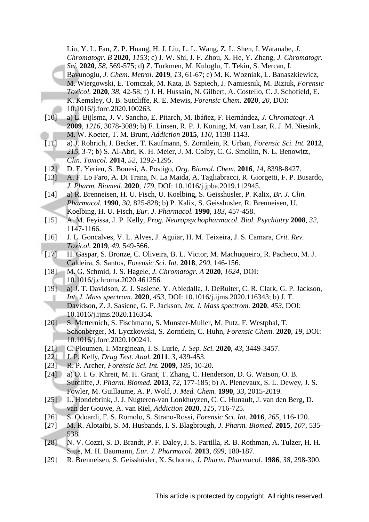Liu, Y. L. Fan, Z. P. Huang, H. J. Liu, L. L. Wang, Z. L. Shen, I. Watanabe, *J. Chromatogr. B* **2020**, *1153*; c) J. W. Shi, J. F. Zhou, X. He, Y. Zhang, *J. Chromatogr. Sci.* **2020**, *58*, 569-575; d) Z. Turkmen, M. Kuloglu, T. Tekin, S. Mercan, I. Bavunoglu, *J. Chem. Metrol.* **2019**, *13*, 61-67; e) M. K. Wozniak, L. Banaszkiewicz, M. Wiergowski, E. Tomczak, M. Kata, B. Szpiech, J. Namiesnik, M. Biziuk, *Forensic Toxicol.* **2020**, *38*, 42-58; f) J. H. Hussain, N. Gilbert, A. Costello, C. J. Schofield, E. K. Kemsley, O. B. Sutcliffe, R. E. Mewis, *Forensic Chem.* **2020**, *20*, DOI: 10.1016/j.forc.2020.100263.

- [10] a) L. Bijlsma, J. V. Sancho, E. Pitarch, M. Ibáñez, F. Hernández, *J. Chromatogr. A*  **2009**, *1216*, 3078-3089; b) F. Linsen, R. P. J. Koning, M. van Laar, R. J. M. Niesink, M. W. Koeter, T. M. Brunt, *Addiction* **2015**, *110*, 1138-1143.
- [11] a) J. Rohrich, J. Becker, T. Kaufmann, S. Zorntlein, R. Urban, *Forensic Sci. Int.* **2012**, *215*, 3-7; b) S. Al-Abri, K. H. Meier, J. M. Colby, C. G. Smollin, N. L. Benowitz, *Clin. Toxicol.* **2014**, *52*, 1292-1295.
- [12] D. E. Yerien, S. Bonesi, A. Postigo, *Org. Biomol. Chem.* **2016**, *14*, 8398-8427.
- [13] A. F. Lo Faro, A. Di Trana, N. La Maida, A. Tagliabracci, R. Giorgetti, F. P. Busardo, *J. Pharm. Biomed.* **2020**, *179*, DOI: 10.1016/j.jpba.2019.112945.
- [14] a) R. Brenneisen, H. U. Fisch, U. Koelbing, S. Geisshusler, P. Kalix, *Br. J. Clin. Pharmacol.* **1990**, *30*, 825-828; b) P. Kalix, S. Geisshusler, R. Brenneisen, U. Koelbing, H. U. Fisch, *Eur. J. Pharmacol.* **1990**, *183*, 457-458.
- [15] A. M. Feyissa, J. P. Kelly, *Prog. Neuropsychopharmacol. Biol. Psychiatry* **2008**, *32*, 1147-1166.
- [16] J. L. Goncalves, V. L. Alves, J. Aguiar, H. M. Teixeira, J. S. Camara, *Crit. Rev. Toxicol.* **2019**, *49*, 549-566.
- [17] H. Gaspar, S. Bronze, C. Oliveira, B. L. Victor, M. Machuqueiro, R. Pacheco, M. J. Caldeira, S. Santos, *Forensic Sci. Int.* **2018**, *290*, 146-156.
- [18] M. G. Schmid, J. S. Hagele, *J. Chromatogr. A* **2020**, *1624*, DOI: 10.1016/j.chroma.2020.461256.
- [19] a) J. T. Davidson, Z. J. Sasiene, Y. Abiedalla, J. DeRuiter, C. R. Clark, G. P. Jackson, *Int. J. Mass spectrom.* **2020**, *453*, DOI: 10.1016/j.ijms.2020.116343; b) J. T. Davidson, Z. J. Sasiene, G. P. Jackson, *Int. J. Mass spectrom.* **2020**, *453*, DOI: 10.1016/j.ijms.2020.116354.
- [20] S. Metternich, S. Fischmann, S. Munster-Muller, M. Putz, F. Westphal, T. Schonberger, M. Lyczkowski, S. Zorntlein, C. Huhn, *Forensic Chem.* **2020**, *19*, DOI: 10.1016/j.forc.2020.100241.
- [21] C. Ploumen, I. Marginean, I. S. Lurie, *J. Sep. Sci.* **2020**, *43*, 3449-3457.
- [22] J. P. Kelly, *Drug Test. Anal.* **2011**, *3*, 439-453.
- [23] R. P. Archer, *Forensic Sci. Int.* **2009**, *185*, 10-20.
- [24] a) O. I. G. Khreit, M. H. Grant, T. Zhang, C. Henderson, D. G. Watson, O. B. Sutcliffe, *J. Pharm. Biomed.* **2013**, *72*, 177-185; b) A. Plenevaux, S. L. Dewey, J. S. Fowler, M. Guillaume, A. P. Wolf, *J. Med. Chem.* **1990**, *33*, 2015-2019.
- [25] L. Hondebrink, J. J. Nugteren-van Lonkhuyzen, C. C. Hunault, J. van den Berg, D. van der Gouwe, A. van Riel, *Addiction* **2020**, *115*, 716-725.
- [26] S. Odoardi, F. S. Romolo, S. Strano-Rossi, *Forensic Sci. Int.* **2016**, *265*, 116-120.
- [27] M. R. Alotaibi, S. M. Husbands, I. S. Blagbrough, *J. Pharm. Biomed.* **2015**, *107*, 535- 538.
- [28] N. V. Cozzi, S. D. Brandt, P. F. Daley, J. S. Partilla, R. B. Rothman, A. Tulzer, H. H. Sitte, M. H. Baumann, *Eur. J. Pharmacol.* **2013**, *699*, 180-187.
- [29] R. Brenneisen, S. Geisshüsler, X. Schorno, *J. Pharm. Pharmacol.* **1986**, *38*, 298-300.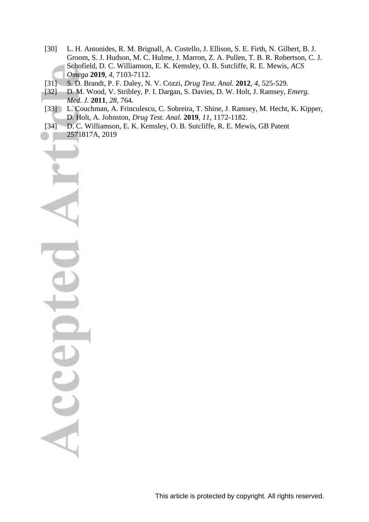- [30] L. H. Antonides, R. M. Brignall, A. Costello, J. Ellison, S. E. Firth, N. Gilbert, B. J. Groom, S. J. Hudson, M. C. Hulme, J. Marron, Z. A. Pullen, T. B. R. Robertson, C. J. Schofield, D. C. Williamson, E. K. Kemsley, O. B. Sutcliffe, R. E. Mewis, *ACS Omega* **2019**, *4*, 7103-7112.
- [31] S. D. Brandt, P. F. Daley, N. V. Cozzi, *Drug Test. Anal.* **2012**, *4*, 525-529.
- [32] D. M. Wood, V. Stribley, P. I. Dargan, S. Davies, D. W. Holt, J. Ramsey, *Emerg. Med. J.* **2011**, *28*, 764.
- [33] L. Couchman, A. Frinculescu, C. Sobreira, T. Shine, J. Ramsey, M. Hecht, K. Kipper, D. Holt, A. Johnston, *Drug Test. Anal.* **2019**, *11*, 1172-1182.
- [34] D. C. Williamson, E. K. Kemsley, O. B. Sutcliffe, R. E. Mewis, GB Patent 2571817A, 2019

Acce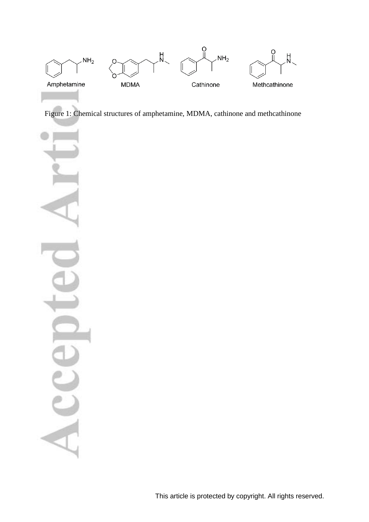

Figure 1: Chemical structures of amphetamine, MDMA, cathinone and methcathinone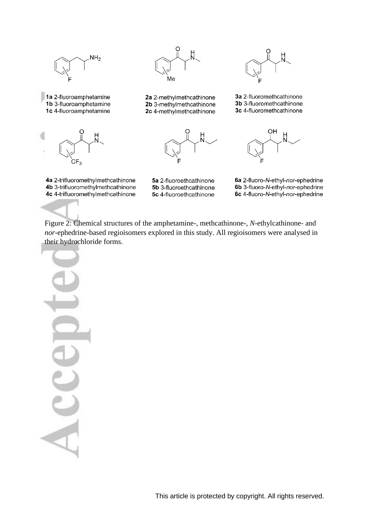![](_page_13_Figure_0.jpeg)

![](_page_13_Picture_1.jpeg)

![](_page_13_Picture_2.jpeg)

4a 2-trifluoromethylmethcathinone

4b 3-trifluoromethylmethcathinone

4c 4-trifluoromethylmethcathinone

![](_page_13_Figure_3.jpeg)

2a 2-methylmethcathinone 2b 3-methylmethcathinone 2c 4-methylmethcathinone

![](_page_13_Picture_5.jpeg)

![](_page_13_Figure_6.jpeg)

3a 2-fluoromethcathinone 3b 3-fluoromethcathinone 3c 4-fluoromethcathinone

![](_page_13_Picture_8.jpeg)

6a 2-fluoro-N-ethyl-nor-ephedrine 6b 3-fluoro-N-ethyl-nor-ephedrine 6c 4-fluoro-N-ethyl-nor-ephedrine

Figure 2: Chemical structures of the amphetamine-, methcathinone-, *N*-ethylcathinone- and *nor*-ephedrine-based regioisomers explored in this study. All regioisomers were analysed in their hydrochloride forms.

5a 2-fluoroethcathinone

5b 3-fluoroethcathinone

5c 4-fluoroethcathinone

![](_page_13_Picture_12.jpeg)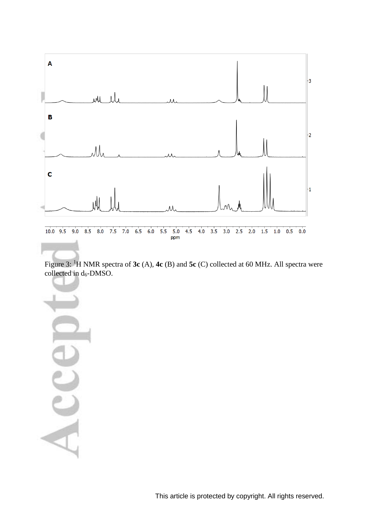![](_page_14_Figure_0.jpeg)

Figure 3: <sup>1</sup>H NMR spectra of **3c** (A), **4c** (B) and **5c** (C) collected at 60 MHz. All spectra were collected in d<sub>6</sub>-DMSO.

This article is protected by copyright. All rights reserved.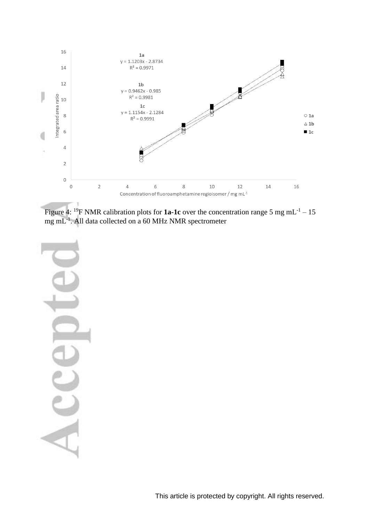![](_page_15_Figure_0.jpeg)

Figure 4: <sup>19</sup>F NMR calibration plots for **1a-1c** over the concentration range 5 mg mL<sup>-1</sup> – 15 mg mL<sup>-1</sup>. All data collected on a 60 MHz NMR spectrometer

Acc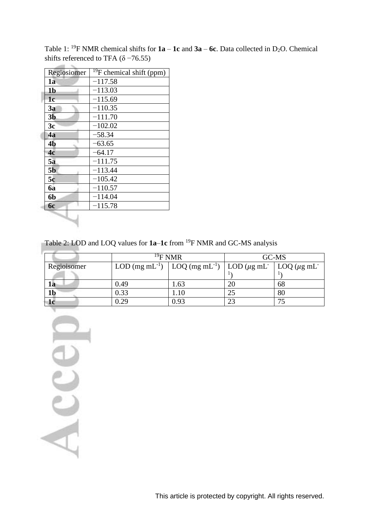|  |                | $^{19}$ F chemical shift (ppm) |
|--|----------------|--------------------------------|
|  | Regiosiomer    |                                |
|  | 1a             | $-117.58$                      |
|  | 1 <sub>b</sub> | $-113.03$                      |
|  | 1 <sub>c</sub> | $-115.69$                      |
|  | 3a             | $-110.35$                      |
|  | 3 <sub>b</sub> | $-111.70$                      |
|  | 3c             | $-102.02$                      |
|  | 4a             | $-58.34$                       |
|  | 4 <sub>b</sub> | $-63.65$                       |
|  | 4c             | $-64.17$                       |
|  | 5a             | $-111.75$                      |
|  | 5 <sub>b</sub> | $-113.44$                      |
|  | 5c             | $-105.42$                      |
|  | <b>6a</b>      | $-110.57$                      |
|  | 6b             | $-114.04$                      |
|  | 6с             | $-115.78$                      |
|  |                |                                |

Table 1: <sup>19</sup>F NMR chemical shifts for  $1a - 1c$  and  $3a - 6c$ . Data collected in D<sub>2</sub>O. Chemical shifts referenced to TFA ( $\delta$  –76.55)

Table 2: LOD and LOQ values for **1a**–**1c** from <sup>19</sup>F NMR and GC-MS analysis

|             |      | $^{19}$ F NMR                                                                                                                             |    | GC-MS |  |
|-------------|------|-------------------------------------------------------------------------------------------------------------------------------------------|----|-------|--|
| Regioisomer |      | LOD (mg mL <sup>-1</sup> ) $\vert$ LOQ (mg mL <sup>-1</sup> ) $\vert$ LOD ( $\mu$ g mL <sup>-</sup> $\vert$ LOQ ( $\mu$ g mL <sup>-</sup> |    |       |  |
|             |      |                                                                                                                                           |    |       |  |
| la          | 0.49 | .63                                                                                                                                       | 20 | 68    |  |
| 1b          | 0.33 | .10                                                                                                                                       | 25 | 80    |  |
|             | 0.29 | 0.93                                                                                                                                      | 23 |       |  |

Accep